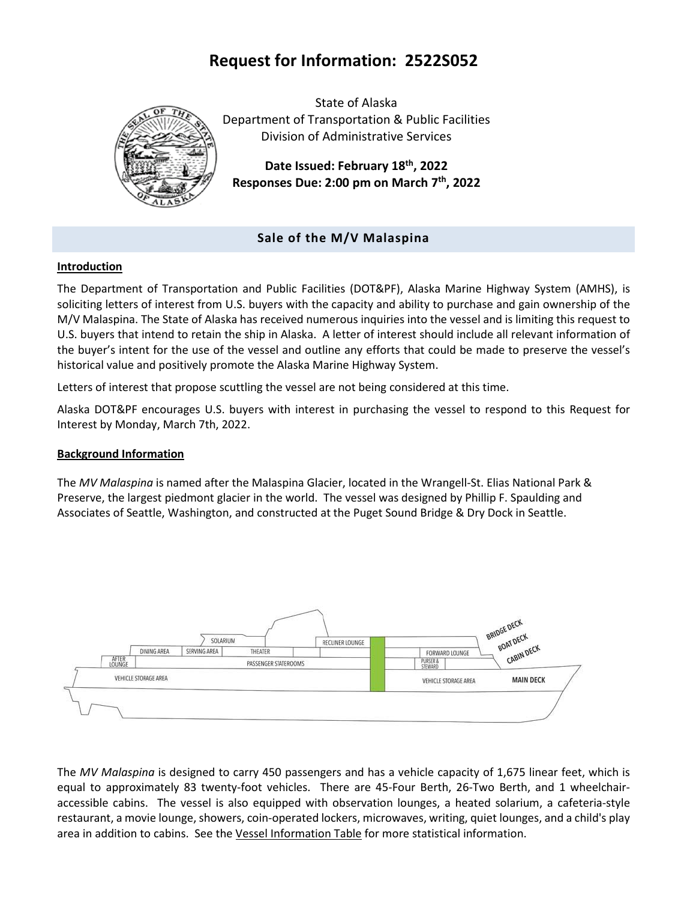# **Request for Information: 2522S052**



State of Alaska Department of Transportation & Public Facilities Division of Administrative Services

**Date Issued: February 18th, 2022 Responses Due: 2:00 pm on March 7th, 2022**

# **Sale of the M/V Malaspina**

# **Introduction**

The Department of Transportation and Public Facilities (DOT&PF), Alaska Marine Highway System (AMHS), is soliciting letters of interest from U.S. buyers with the capacity and ability to purchase and gain ownership of the M/V Malaspina. The State of Alaska has received numerous inquiries into the vessel and is limiting this request to U.S. buyers that intend to retain the ship in Alaska. A letter of interest should include all relevant information of the buyer's intent for the use of the vessel and outline any efforts that could be made to preserve the vessel's historical value and positively promote the Alaska Marine Highway System.

Letters of interest that propose scuttling the vessel are not being considered at this time.

Alaska DOT&PF encourages U.S. buyers with interest in purchasing the vessel to respond to this Request for Interest by Monday, March 7th, 2022.

# **Background Information**

The *MV Malaspina* is named after the Malaspina Glacier, located in the Wrangell-St. Elias National Park & Preserve, the largest piedmont glacier in the world. The vessel was designed by Phillip F. Spaulding and Associates of Seattle, Washington, and constructed at the Puget Sound Bridge & Dry Dock in Seattle.



The *MV Malaspina* is designed to carry 450 passengers and has a vehicle capacity of 1,675 linear feet, which is equal to approximately 83 twenty-foot vehicles. There are 45-Four Berth, 26-Two Berth, and 1 wheelchairaccessible cabins. The vessel is also equipped with observation lounges, a heated solarium, a cafeteria-style restaurant, a movie lounge, showers, coin-operated lockers, microwaves, writing, quiet lounges, and a child's play area in addition to cabins. See the [Vessel Information Table](https://dot.alaska.gov/amhs/doc/vess_info_table.pdf) for more statistical information.